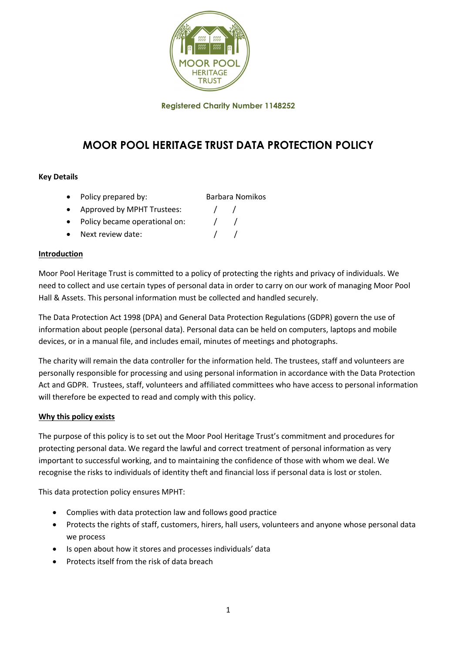

Registered Charity Number 1148252

# MOOR POOL HERITAGE TRUST DATA PROTECTION POLICY

### Key Details

- Policy prepared by: Barbara Nomikos
- Approved by MPHT Trustees:  $\frac{1}{1}$
- Policy became operational on:  $\frac{1}{1}$
- Next review date:  $\sqrt{2}$

### Introduction

Moor Pool Heritage Trust is committed to a policy of protecting the rights and privacy of individuals. We need to collect and use certain types of personal data in order to carry on our work of managing Moor Pool Hall & Assets. This personal information must be collected and handled securely.

The Data Protection Act 1998 (DPA) and General Data Protection Regulations (GDPR) govern the use of information about people (personal data). Personal data can be held on computers, laptops and mobile devices, or in a manual file, and includes email, minutes of meetings and photographs.

The charity will remain the data controller for the information held. The trustees, staff and volunteers are personally responsible for processing and using personal information in accordance with the Data Protection Act and GDPR. Trustees, staff, volunteers and affiliated committees who have access to personal information will therefore be expected to read and comply with this policy.

### Why this policy exists

The purpose of this policy is to set out the Moor Pool Heritage Trust's commitment and procedures for protecting personal data. We regard the lawful and correct treatment of personal information as very important to successful working, and to maintaining the confidence of those with whom we deal. We recognise the risks to individuals of identity theft and financial loss if personal data is lost or stolen.

This data protection policy ensures MPHT:

- Complies with data protection law and follows good practice
- Protects the rights of staff, customers, hirers, hall users, volunteers and anyone whose personal data we process
- Is open about how it stores and processes individuals' data
- Protects itself from the risk of data breach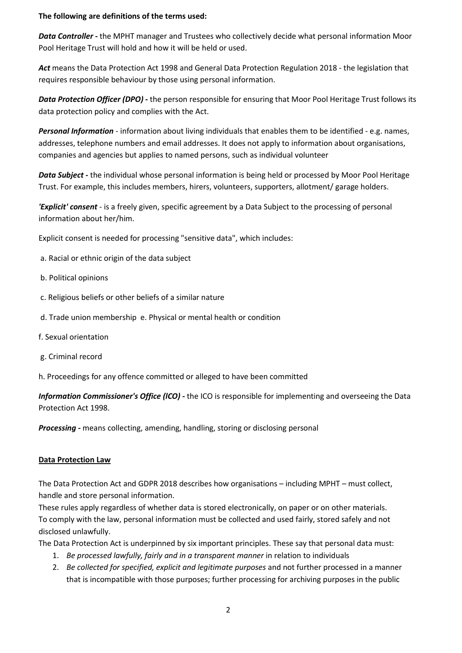#### The following are definitions of the terms used:

*Data Controller* - the MPHT manager and Trustees who collectively decide what personal information Moor Pool Heritage Trust will hold and how it will be held or used.

*Act* means the Data Protection Act 1998 and General Data Protection Regulation 2018 - the legislation that requires responsible behaviour by those using personal information.

*Data Protection Officer (DPO) -* the person responsible for ensuring that Moor Pool Heritage Trust follows its data protection policy and complies with the Act.

*Personal Information* - information about living individuals that enables them to be identified - e.g. names, addresses, telephone numbers and email addresses. It does not apply to information about organisations, companies and agencies but applies to named persons, such as individual volunteer

*Data Subject* - the individual whose personal information is being held or processed by Moor Pool Heritage Trust. For example, this includes members, hirers, volunteers, supporters, allotment/ garage holders.

*'Explicit' consent* - is a freely given, specific agreement by a Data Subject to the processing of personal information about her/him.

Explicit consent is needed for processing "sensitive data", which includes:

- a. Racial or ethnic origin of the data subject
- b. Political opinions
- c. Religious beliefs or other beliefs of a similar nature
- d. Trade union membership e. Physical or mental health or condition
- f. Sexual orientation
- g. Criminal record
- h. Proceedings for any offence committed or alleged to have been committed

*Information Commissioner's Office (lCO)* - the ICO is responsible for implementing and overseeing the Data Protection Act 1998.

*Processing* - means collecting, amending, handling, storing or disclosing personal

#### Data Protection Law

The Data Protection Act and GDPR 2018 describes how organisations – including MPHT – must collect, handle and store personal information.

These rules apply regardless of whether data is stored electronically, on paper or on other materials. To comply with the law, personal information must be collected and used fairly, stored safely and not disclosed unlawfully.

The Data Protection Act is underpinned by six important principles. These say that personal data must:

- 1. *Be processed lawfully, fairly and in a transparent manner* in relation to individuals
- 2. *Be collected for specified, explicit and legitimate purposes* and not further processed in a manner that is incompatible with those purposes; further processing for archiving purposes in the public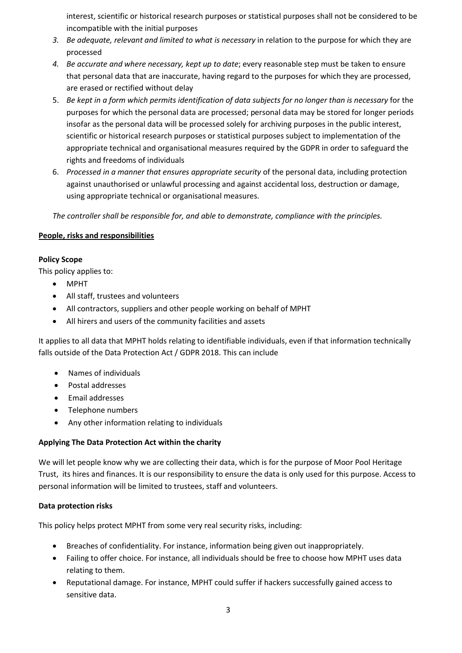interest, scientific or historical research purposes or statistical purposes shall not be considered to be incompatible with the initial purposes

- *3. Be adequate, relevant and limited to what is necessary* in relation to the purpose for which they are processed
- *4. Be accurate and where necessary, kept up to date*; every reasonable step must be taken to ensure that personal data that are inaccurate, having regard to the purposes for which they are processed, are erased or rectified without delay
- 5. *Be kept in a form which permits identification of data subjects for no longer than is necessary* for the purposes for which the personal data are processed; personal data may be stored for longer periods insofar as the personal data will be processed solely for archiving purposes in the public interest, scientific or historical research purposes or statistical purposes subject to implementation of the appropriate technical and organisational measures required by the GDPR in order to safeguard the rights and freedoms of individuals
- 6. *Processed in a manner that ensures appropriate security* of the personal data, including protection against unauthorised or unlawful processing and against accidental loss, destruction or damage, using appropriate technical or organisational measures.

*The controller shall be responsible for, and able to demonstrate, compliance with the principles.*

### People, risks and responsibilities

### Policy Scope

This policy applies to:

- MPHT
- All staff, trustees and volunteers
- All contractors, suppliers and other people working on behalf of MPHT
- All hirers and users of the community facilities and assets

It applies to all data that MPHT holds relating to identifiable individuals, even if that information technically falls outside of the Data Protection Act / GDPR 2018. This can include

- Names of individuals
- Postal addresses
- Email addresses
- Telephone numbers
- Any other information relating to individuals

### Applying The Data Protection Act within the charity

We will let people know why we are collecting their data, which is for the purpose of Moor Pool Heritage Trust, its hires and finances. It is our responsibility to ensure the data is only used for this purpose. Access to personal information will be limited to trustees, staff and volunteers.

### Data protection risks

This policy helps protect MPHT from some very real security risks, including:

- Breaches of confidentiality. For instance, information being given out inappropriately.
- Failing to offer choice. For instance, all individuals should be free to choose how MPHT uses data relating to them.
- Reputational damage. For instance, MPHT could suffer if hackers successfully gained access to sensitive data.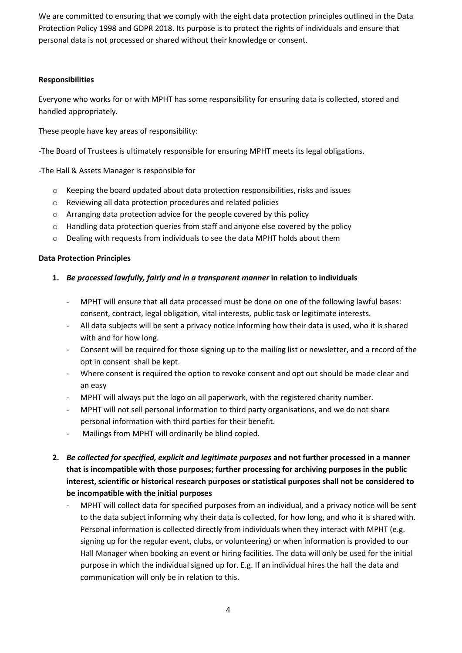We are committed to ensuring that we comply with the eight data protection principles outlined in the Data Protection Policy 1998 and GDPR 2018. Its purpose is to protect the rights of individuals and ensure that personal data is not processed or shared without their knowledge or consent.

### Responsibilities

Everyone who works for or with MPHT has some responsibility for ensuring data is collected, stored and handled appropriately.

These people have key areas of responsibility:

-The Board of Trustees is ultimately responsible for ensuring MPHT meets its legal obligations.

-The Hall & Assets Manager is responsible for

- o Keeping the board updated about data protection responsibilities, risks and issues
- o Reviewing all data protection procedures and related policies
- o Arranging data protection advice for the people covered by this policy
- $\circ$  Handling data protection queries from staff and anyone else covered by the policy
- o Dealing with requests from individuals to see the data MPHT holds about them

### Data Protection Principles

### 1. *Be processed lawfully, fairly and in a transparent manner* in relation to individuals

- MPHT will ensure that all data processed must be done on one of the following lawful bases: consent, contract, legal obligation, vital interests, public task or legitimate interests.
- All data subjects will be sent a privacy notice informing how their data is used, who it is shared with and for how long.
- Consent will be required for those signing up to the mailing list or newsletter, and a record of the opt in consent shall be kept.
- Where consent is required the option to revoke consent and opt out should be made clear and an easy
- MPHT will always put the logo on all paperwork, with the registered charity number.
- MPHT will not sell personal information to third party organisations, and we do not share personal information with third parties for their benefit.
- Mailings from MPHT will ordinarily be blind copied.
- 2. *Be collected for specified, explicit and legitimate purposes* and not further processed in a manner that is incompatible with those purposes; further processing for archiving purposes in the public interest, scientific or historical research purposes or statistical purposes shall not be considered to be incompatible with the initial purposes
	- MPHT will collect data for specified purposes from an individual, and a privacy notice will be sent to the data subject informing why their data is collected, for how long, and who it is shared with. Personal information is collected directly from individuals when they interact with MPHT (e.g. signing up for the regular event, clubs, or volunteering) or when information is provided to our Hall Manager when booking an event or hiring facilities. The data will only be used for the initial purpose in which the individual signed up for. E.g. If an individual hires the hall the data and communication will only be in relation to this.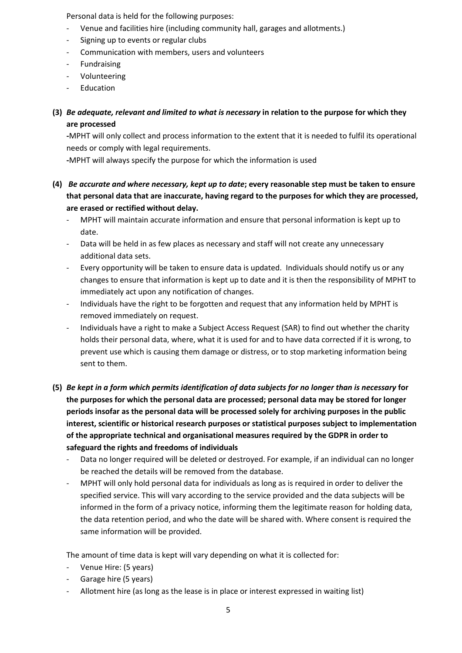Personal data is held for the following purposes:

- Venue and facilities hire (including community hall, garages and allotments.)
- Signing up to events or regular clubs
- Communication with members, users and volunteers
- **Fundraising**
- Volunteering
- Education

# (3) *Be adequate, relevant and limited to what is necessary* in relation to the purpose for which they are processed

-MPHT will only collect and process information to the extent that it is needed to fulfil its operational needs or comply with legal requirements.

-MPHT will always specify the purpose for which the information is used

- (4) *Be accurate and where necessary, kept up to date*; every reasonable step must be taken to ensure that personal data that are inaccurate, having regard to the purposes for which they are processed, are erased or rectified without delay.
	- MPHT will maintain accurate information and ensure that personal information is kept up to date.
	- Data will be held in as few places as necessary and staff will not create any unnecessary additional data sets.
	- Every opportunity will be taken to ensure data is updated. Individuals should notify us or any changes to ensure that information is kept up to date and it is then the responsibility of MPHT to immediately act upon any notification of changes.
	- Individuals have the right to be forgotten and request that any information held by MPHT is removed immediately on request.
	- Individuals have a right to make a Subject Access Request (SAR) to find out whether the charity holds their personal data, where, what it is used for and to have data corrected if it is wrong, to prevent use which is causing them damage or distress, or to stop marketing information being sent to them.
- (5) *Be kept in a form which permits identification of data subjects for no longer than is necessary* for the purposes for which the personal data are processed; personal data may be stored for longer periods insofar as the personal data will be processed solely for archiving purposes in the public interest, scientific or historical research purposes or statistical purposes subject to implementation of the appropriate technical and organisational measures required by the GDPR in order to safeguard the rights and freedoms of individuals
	- Data no longer required will be deleted or destroyed. For example, if an individual can no longer be reached the details will be removed from the database.
	- MPHT will only hold personal data for individuals as long as is required in order to deliver the specified service. This will vary according to the service provided and the data subjects will be informed in the form of a privacy notice, informing them the legitimate reason for holding data, the data retention period, and who the date will be shared with. Where consent is required the same information will be provided.

The amount of time data is kept will vary depending on what it is collected for:

- Venue Hire: (5 years)
- Garage hire (5 years)
- Allotment hire (as long as the lease is in place or interest expressed in waiting list)